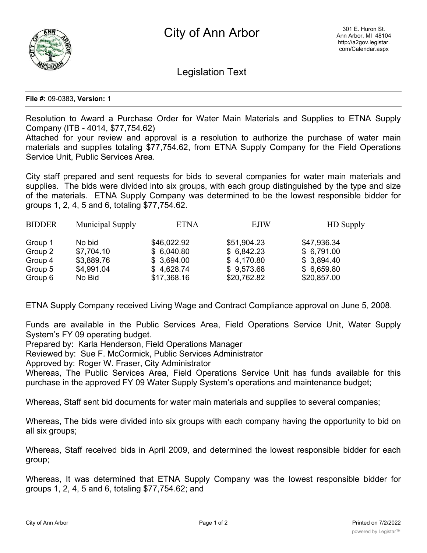

Legislation Text

## **File #:** 09-0383, **Version:** 1

Resolution to Award a Purchase Order for Water Main Materials and Supplies to ETNA Supply Company (ITB - 4014, \$77,754.62)

Attached for your review and approval is a resolution to authorize the purchase of water main materials and supplies totaling \$77,754.62, from ETNA Supply Company for the Field Operations Service Unit, Public Services Area.

City staff prepared and sent requests for bids to several companies for water main materials and supplies. The bids were divided into six groups, with each group distinguished by the type and size of the materials. ETNA Supply Company was determined to be the lowest responsible bidder for groups 1, 2, 4, 5 and 6, totaling \$77,754.62.

| <b>BIDDER</b> | Municipal Supply | <b>ETNA</b> | <b>EJIW</b> | <b>HD</b> Supply |
|---------------|------------------|-------------|-------------|------------------|
| Group 1       | No bid           | \$46,022.92 | \$51,904.23 | \$47,936.34      |
| Group 2       | \$7,704.10       | \$6,040.80  | \$6,842.23  | \$6,791.00       |
| Group 4       | \$3,889.76       | \$3,694.00  | \$4,170.80  | \$3,894.40       |
| Group 5       | \$4,991.04       | \$4,628.74  | \$9,573.68  | \$6,659.80       |
| Group 6       | No Bid           | \$17,368.16 | \$20,762.82 | \$20,857.00      |

ETNA Supply Company received Living Wage and Contract Compliance approval on June 5, 2008.

Funds are available in the Public Services Area, Field Operations Service Unit, Water Supply System's FY 09 operating budget.

Prepared by: Karla Henderson, Field Operations Manager

Reviewed by: Sue F. McCormick, Public Services Administrator

Approved by: Roger W. Fraser, City Administrator

Whereas, The Public Services Area, Field Operations Service Unit has funds available for this purchase in the approved FY 09 Water Supply System's operations and maintenance budget;

Whereas, Staff sent bid documents for water main materials and supplies to several companies;

Whereas, The bids were divided into six groups with each company having the opportunity to bid on all six groups;

Whereas, Staff received bids in April 2009, and determined the lowest responsible bidder for each group;

Whereas, It was determined that ETNA Supply Company was the lowest responsible bidder for groups 1, 2, 4, 5 and 6, totaling \$77,754.62; and